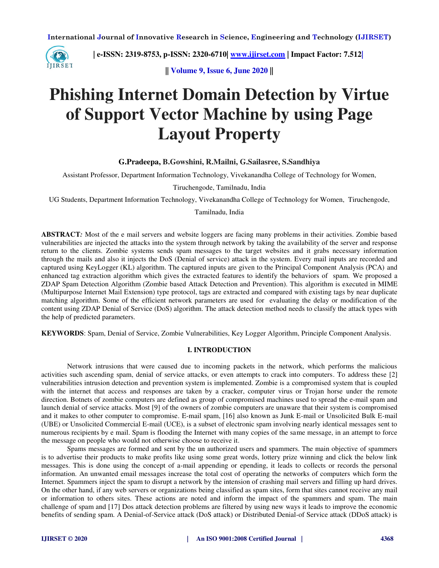

 **| e-ISSN: 2319-8753, p-ISSN: 2320-6710| [www.ijirset.com](http://www.ijirset.com/) | Impact Factor: 7.512|**

**|| Volume 9, Issue 6, June 2020 ||** 

# **Phishing Internet Domain Detection by Virtue of Support Vector Machine by using Page Layout Property**

**G.Pradeepa, B.Gowshini, R.Mailni, G.Sailasree, S.Sandhiya** 

Assistant Professor, Department Information Technology, Vivekanandha College of Technology for Women,

Tiruchengode, Tamilnadu, India

UG Students, Department Information Technology, Vivekanandha College of Technology for Women, Tiruchengode,

#### Tamilnadu, India

**ABSTRACT***:* Most of the e mail servers and website loggers are facing many problems in their activities. Zombie based vulnerabilities are injected the attacks into the system through network by taking the availability of the server and response return to the clients. Zombie systems sends spam messages to the target websites and it grabs necessary information through the mails and also it injects the DoS (Denial of service) attack in the system. Every mail inputs are recorded and captured using KeyLogger (KL) algorithm. The captured inputs are given to the Principal Component Analysis (PCA) and enhanced tag extraction algorithm which gives the extracted features to identify the behaviors of spam. We proposed a ZDAP Spam Detection Algorithm (Zombie based Attack Detection and Prevention). This algorithm is executed in MIME (Multipurpose Internet Mail Extension) type protocol, tags are extracted and compared with existing tags by near duplicate matching algorithm. Some of the efficient network parameters are used for evaluating the delay or modification of the content using ZDAP Denial of Service (DoS) algorithm. The attack detection method needs to classify the attack types with the help of predicted parameters.

**KEYWORDS**: Spam, Denial of Service, Zombie Vulnerabilities, Key Logger Algorithm, Principle Component Analysis.

#### **I. INTRODUCTION**

Network intrusions that were caused due to incoming packets in the network, which performs the malicious activities such ascending spam, denial of service attacks, or even attempts to crack into computers. To address these [2] vulnerabilities intrusion detection and prevention system is implemented. Zombie is a compromised system that is coupled with the internet that access and responses are taken by a cracker, computer virus or Trojan horse under the remote direction. Botnets of zombie computers are defined as group of compromised machines used to spread the e-mail spam and launch denial of service attacks. Most [9] of the owners of zombie computers are unaware that their system is compromised and it makes to other computer to compromise. E-mail spam, [16] also known as Junk E-mail or Unsolicited Bulk E-mail (UBE) or Unsolicited Commercial E-mail (UCE), is a subset of electronic spam involving nearly identical messages sent to numerous recipients by e mail. Spam is flooding the Internet with many copies of the same message, in an attempt to force the message on people who would not otherwise choose to receive it.

Spams messages are formed and sent by the un authorized users and spammers. The main objective of spammers is to advertise their products to make profits like using some great words, lottery prize winning and click the below link messages. This is done using the concept of a-mail appending or epending, it leads to collects or records the personal information. An unwanted email messages increase the total cost of operating the networks of computers which form the Internet. Spammers inject the spam to disrupt a network by the intension of crashing mail servers and filling up hard drives. On the other hand, if any web servers or organizations being classified as spam sites, form that sites cannot receive any mail or information to others sites. These actions are noted and inform the impact of the spammers and spam. The main challenge of spam and [17] Dos attack detection problems are filtered by using new ways it leads to improve the economic benefits of sending spam. A Denial-of-Service attack (DoS attack) or Distributed Denial-of Service attack (DDoS attack) is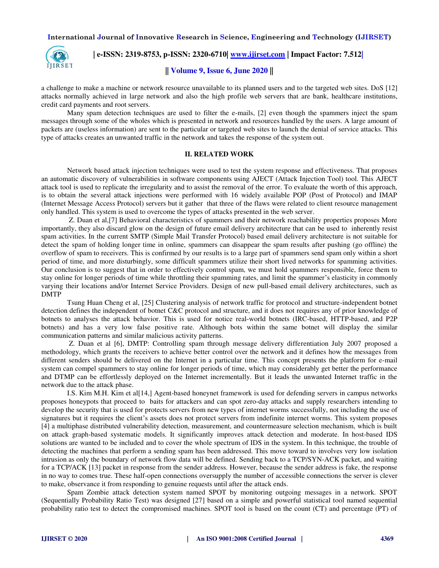

 **| e-ISSN: 2319-8753, p-ISSN: 2320-6710| [www.ijirset.com](http://www.ijirset.com/) | Impact Factor: 7.512|**

# **|| Volume 9, Issue 6, June 2020 ||**

a challenge to make a machine or network resource unavailable to its planned users and to the targeted web sites. DoS [12] attacks normally achieved in large network and also the high profile web servers that are bank, healthcare institutions, credit card payments and root servers.

Many spam detection techniques are used to filter the e-mails, [2] even though the spammers inject the spam messages through some of the wholes which is presented in network and resources handled by the users. A large amount of packets are (useless information) are sent to the particular or targeted web sites to launch the denial of service attacks. This type of attacks creates an unwanted traffic in the network and takes the response of the system out.

#### **II. RELATED WORK**

Network based attack injection techniques were used to test the system response and effectiveness. That proposes an automatic discovery of vulnerabilities in software components using AJECT (Attack Injection Tool) tool. This AJECT attack tool is used to replicate the irregularity and to assist the removal of the error. To evaluate the worth of this approach, is to obtain the several attack injections were performed with 16 widely available POP (Post of Protocol) and IMAP (Internet Message Access Protocol) servers but it gather that three of the flaws were related to client resource management only handled. This system is used to overcome the types of attacks presented in the web server.

 Z. Duan et al,[7] Behavioral characteristics of spammers and their network reachability properties proposes More importantly, they also discard glow on the design of future email delivery architecture that can be used to inherently resist spam activities. In the current SMTP (Simple Mail Transfer Protocol) based email delivery architecture is not suitable for detect the spam of holding longer time in online, spammers can disappear the spam results after pushing (go offline) the overflow of spam to receivers. This is confirmed by our results is to a large part of spammers send spam only within a short period of time, and more disturbingly, some difficult spammers utilize their short lived networks for spamming activities. Our conclusion is to suggest that in order to effectively control spam, we must hold spammers responsible, force them to stay online for longer periods of time while throttling their spamming rates, and limit the spammer's elasticity in commonly varying their locations and/or Internet Service Providers. Design of new pull-based email delivery architectures, such as DMTP

Tsung Huan Cheng et al, [25] Clustering analysis of network traffic for protocol and structure-independent botnet detection defines the independent of botnet C&C protocol and structure, and it does not requires any of prior knowledge of botnets to analyses the attack behavior. This is used for notice real-world botnets (IRC-based, HTTP-based, and P2P botnets) and has a very low false positive rate. Although bots within the same botnet will display the similar communication patterns and similar malicious activity patterns.

 Z. Duan et al [6], DMTP: Controlling spam through message delivery differentiation July 2007 proposed a methodology, which grants the receivers to achieve better control over the network and it defines how the messages from different senders should be delivered on the Internet in a particular time. This concept presents the platform for e-mail system can compel spammers to stay online for longer periods of time, which may considerably get better the performance and DTMP can be effortlessly deployed on the Internet incrementally. But it leads the unwanted Internet traffic in the network due to the attack phase.

I.S. Kim M.H. Kim et al[14,] Agent-based honeynet framework is used for defending servers in campus networks proposes honeypots that proceed to baits for attackers and can spot zero-day attacks and supply researchers intending to develop the security that is used for protects servers from new types of internet worms successfully, not including the use of signatures but it requires the client's assets does not protect servers from indefinite internet worms. This system proposes [4] a multiphase distributed vulnerability detection, measurement, and countermeasure selection mechanism, which is built on attack graph-based systematic models. It significantly improves attack detection and moderate. In host-based IDS solutions are wanted to be included and to cover the whole spectrum of IDS in the system. In this technique, the trouble of detecting the machines that perform a sending spam has been addressed. This move toward to involves very low isolation intrusion as only the boundary of network flow data will be defined. Sending back to a TCP/SYN-ACK packet, and waiting for a TCP/ACK [13] packet in response from the sender address. However, because the sender address is fake, the response in no way to comes true. These half-open connections oversupply the number of accessible connections the server is clever to make, observance it from responding to genuine requests until after the attack ends.

Spam Zombie attack detection system named SPOT by monitoring outgoing messages in a network. SPOT (Sequentially Probability Ratio Test) was designed [27] based on a simple and powerful statistical tool named sequential probability ratio test to detect the compromised machines. SPOT tool is based on the count (CT) and percentage (PT) of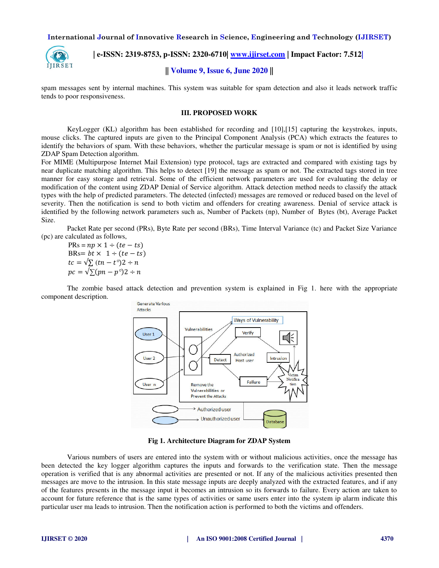

 **| e-ISSN: 2319-8753, p-ISSN: 2320-6710| [www.ijirset.com](http://www.ijirset.com/) | Impact Factor: 7.512|**

# **|| Volume 9, Issue 6, June 2020 ||**

spam messages sent by internal machines. This system was suitable for spam detection and also it leads network traffic tends to poor responsiveness.

#### **III. PROPOSED WORK**

KeyLogger (KL) algorithm has been established for recording and [10],[15] capturing the keystrokes, inputs, mouse clicks. The captured inputs are given to the Principal Component Analysis (PCA) which extracts the features to identify the behaviors of spam. With these behaviors, whether the particular message is spam or not is identified by using ZDAP Spam Detection algorithm.

For MIME (Multipurpose Internet Mail Extension) type protocol, tags are extracted and compared with existing tags by near duplicate matching algorithm. This helps to detect [19] the message as spam or not. The extracted tags stored in tree manner for easy storage and retrieval. Some of the efficient network parameters are used for evaluating the delay or modification of the content using ZDAP Denial of Service algorithm. Attack detection method needs to classify the attack types with the help of predicted parameters. The detected (infected) messages are removed or reduced based on the level of severity. Then the notification is send to both victim and offenders for creating awareness. Denial of service attack is identified by the following network parameters such as, Number of Packets (np), Number of Bytes (bt), Average Packet Size.

Packet Rate per second (PRs), Byte Rate per second (BRs), Time Interval Variance (tc) and Packet Size Variance (pc) are calculated as follows,

 $PRs = np \times 1 \div (te - ts)$ BRs=  $bt \times 1 \div (te - ts)$  $tc = \sqrt{\sum (tn - t^{\circ})2} \div n$  $pc = \sqrt{\sum (pn - p^{\circ})2} \div n$ 

The zombie based attack detection and prevention system is explained in Fig 1. here with the appropriate component description.



**Fig 1. Architecture Diagram for ZDAP System** 

Various numbers of users are entered into the system with or without malicious activities, once the message has been detected the key logger algorithm captures the inputs and forwards to the verification state. Then the message operation is verified that is any abnormal activities are presented or not. If any of the malicious activities presented then messages are move to the intrusion. In this state message inputs are deeply analyzed with the extracted features, and if any of the features presents in the message input it becomes an intrusion so its forwards to failure. Every action are taken to account for future reference that is the same types of activities or same users enter into the system ip alarm indicate this particular user ma leads to intrusion. Then the notification action is performed to both the victims and offenders.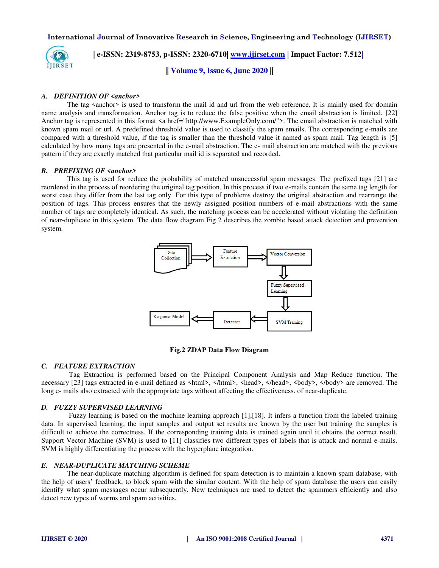

 **| e-ISSN: 2319-8753, p-ISSN: 2320-6710| [www.ijirset.com](http://www.ijirset.com/) | Impact Factor: 7.512|**

**|| Volume 9, Issue 6, June 2020 ||** 

#### *A. DEFINITION OF <anchor>*

The tag  $\leq$  anchor $\geq$  is used to transform the mail id and url from the web reference. It is mainly used for domain name analysis and transformation. Anchor tag is to reduce the false positive when the email abstraction is limited. [22] Anchor tag is represented in this format  $\leq a$  href="http://www.ExampleOnly.com/">. The email abstraction is matched with known spam mail or url. A predefined threshold value is used to classify the spam emails. The corresponding e-mails are compared with a threshold value, if the tag is smaller than the threshold value it named as spam mail. Tag length is [5] calculated by how many tags are presented in the e-mail abstraction. The e- mail abstraction are matched with the previous pattern if they are exactly matched that particular mail id is separated and recorded.

#### *B. PREFIXING OF <anchor>*

This tag is used for reduce the probability of matched unsuccessful spam messages. The prefixed tags [21] are reordered in the process of reordering the original tag position. In this process if two e-mails contain the same tag length for worst case they differ from the last tag only. For this type of problems destroy the original abstraction and rearrange the position of tags. This process ensures that the newly assigned position numbers of e-mail abstractions with the same number of tags are completely identical. As such, the matching process can be accelerated without violating the definition of near-duplicate in this system. The data flow diagram Fig 2 describes the zombie based attack detection and prevention system.



**Fig.2 ZDAP Data Flow Diagram** 

#### *C. FEATURE EXTRACTION*

 Tag Extraction is performed based on the Principal Component Analysis and Map Reduce function. The necessary [23] tags extracted in e-mail defined as  $\frac{\text{thm}}{2}$ ,  $\frac{\text{thm}}{2}$ ,  $\frac{\text{thad}}{2}$ ,  $\frac{\text{thad}}{2}$ ,  $\frac{\text{thad}}{2}$ ,  $\frac{\text{thad}}{2}$ ,  $\frac{\text{thad}}{2}$ ,  $\frac{\text{thad}}{2}$ long e- mails also extracted with the appropriate tags without affecting the effectiveness. of near-duplicate.

#### *D. FUZZY SUPERVISED LEARNING*

 Fuzzy learning is based on the machine learning approach [1],[18]. It infers a function from the labeled training data. In supervised learning, the input samples and output set results are known by the user but training the samples is difficult to achieve the correctness. If the corresponding training data is trained again until it obtains the correct result. Support Vector Machine (SVM) is used to [11] classifies two different types of labels that is attack and normal e-mails. SVM is highly differentiating the process with the hyperplane integration.

#### *E. NEAR-DUPLICATE MATCHING SCHEME*

The near-duplicate matching algorithm is defined for spam detection is to maintain a known spam database, with the help of users' feedback, to block spam with the similar content. With the help of spam database the users can easily identify what spam messages occur subsequently. New techniques are used to detect the spammers efficiently and also detect new types of worms and spam activities.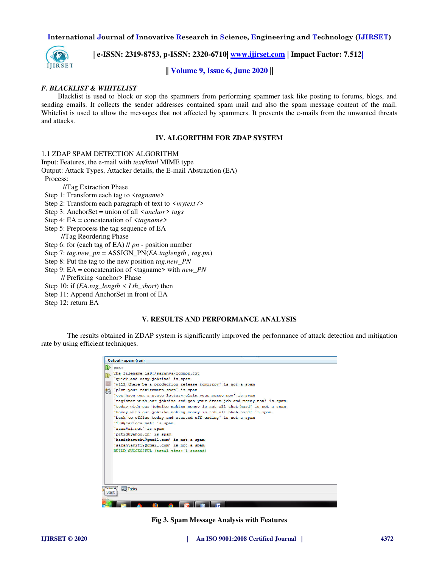

 **| e-ISSN: 2319-8753, p-ISSN: 2320-6710| [www.ijirset.com](http://www.ijirset.com/) | Impact Factor: 7.512|**

**|| Volume 9, Issue 6, June 2020 ||** 

## *F. BLACKLIST & WHITELIST*

 Blacklist is used to block or stop the spammers from performing spammer task like posting to forums, blogs, and sending emails. It collects the sender addresses contained spam mail and also the spam message content of the mail. Whitelist is used to allow the messages that not affected by spammers. It prevents the e-mails from the unwanted threats and attacks.

#### **IV. ALGORITHM FOR ZDAP SYSTEM**

#### 1.1 ZDAP SPAM DETECTION ALGORITHM

Input: Features, the e-mail with *text/html* MIME type

Output: Attack Types, Attacker details, the E-mail Abstraction (EA)

Process:

//Tag Extraction Phase

Step 1: Transform each tag to <*tagname*>

Step 2: Transform each paragraph of text to *<mytext />*

Step 3: AnchorSet = union of all *<anchor> tags*

Step 4: EA = concatenation of *<tagname>*

 Step 5: Preprocess the tag sequence of EA //Tag Reordering Phase

Step 6: for (each tag of EA) // *pn* - position number

Step 7: *tag.new\_pn* = ASSIGN\_PN(*EA.taglength , tag.pn*)

Step 8: Put the tag to the new position *tag.new\_PN* 

Step 9: EA = concatenation of <tagname> with *new\_PN* 

// Prefixing <anchor> Phase

Step 10: if  $(EA.tag\ length \leq Lth\ short)$  then

Step 11: Append AnchorSet in front of EA

Step 12: return EA

# **V. RESULTS AND PERFORMANCE ANALYSIS**

The results obtained in ZDAP system is significantly improved the performance of attack detection and mitigation rate by using efficient techniques.

| run:<br>The filename isD:/saranya/common.txt<br>'quick and easy jobsite' is spam<br>'will there be a production release tomorrow' is not a spam<br>'plan your retirement soon' is spam<br>'you have won a state lottery claim your money now' is spam<br>'register with our jobsite and get your dream job and money now' is spam<br>'today with our jobsite making money is not all that hard' is not a spam<br>'today with our jobsite making money is not all that hard' is spam<br>'back to office today and started off coding' is not a spam<br>'184@carioca.net' is spam<br>'aaaa@ai.net' is spam<br>'pltid@vahoo.cn' is spam<br>'harithamuthu@qmail.com' is not a spam<br>'saranyamit12@gmail.com' is not a spam<br>BUILD SUCCESSFUL (total time: 1 second) |
|---------------------------------------------------------------------------------------------------------------------------------------------------------------------------------------------------------------------------------------------------------------------------------------------------------------------------------------------------------------------------------------------------------------------------------------------------------------------------------------------------------------------------------------------------------------------------------------------------------------------------------------------------------------------------------------------------------------------------------------------------------------------|
|                                                                                                                                                                                                                                                                                                                                                                                                                                                                                                                                                                                                                                                                                                                                                                     |

**Fig 3. Spam Message Analysis with Features**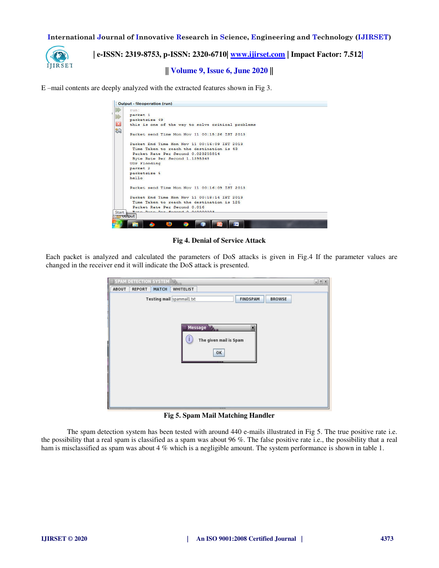

 **| e-ISSN: 2319-8753, p-ISSN: 2320-6710| [www.ijirset.com](http://www.ijirset.com/) | Impact Factor: 7.512|**

# **|| Volume 9, Issue 6, June 2020 ||**

E –mail contents are deeply analyzed with the extracted features shown in Fig 3.

| run:                |                                                   |  |
|---------------------|---------------------------------------------------|--|
| packet 1            |                                                   |  |
| packetsize 49       |                                                   |  |
|                     | this is one of the way to solve critical problems |  |
|                     | Packet send Time Mon Nov 11 00:15:26 IST 2013     |  |
|                     | Packet End Time Mon Nov 11 00:16:09 IST 2013      |  |
|                     | Time Taken to reach the destination is 43         |  |
|                     | Packet Rate Per Second 0.023255814                |  |
|                     | Byte Rate Per Second 1.1395348                    |  |
| <b>UDP Flooding</b> |                                                   |  |
| packet <sub>2</sub> |                                                   |  |
| packetsize 5        |                                                   |  |
| he11o               |                                                   |  |
|                     | Packet send Time Mon Nov 11 00:16:09 IST 2013     |  |
|                     | Packet End Time Mon Nov 11 00:18:14 IST 2013      |  |
|                     | Time Taken to reach the destination is 125        |  |
|                     | Packet Rate Per Second 0.016                      |  |
|                     | Buts Bats Box Second 0 0400000002                 |  |
| $\mathbb{Z}$ Uutput |                                                   |  |

**Fig 4. Denial of Service Attack** 

Each packet is analyzed and calculated the parameters of DoS attacks is given in Fig.4 If the parameter values are changed in the receiver end it will indicate the DoS attack is presented.

| SPAM DETECTION SYSTEM TO               |                                                                                         | $-12x$ |
|----------------------------------------|-----------------------------------------------------------------------------------------|--------|
| ABOUT<br><b>REPORT</b><br><b>MATCH</b> | <b>WHITELIST</b>                                                                        |        |
| Testing mail spammail1.bt              | <b>FINDSPAM</b><br><b>BROWSE</b><br>Message<br>×<br>The given mail is Spam<br>OK<br>--- |        |
|                                        |                                                                                         |        |

**Fig 5. Spam Mail Matching Handler** 

The spam detection system has been tested with around 440 e-mails illustrated in Fig 5. The true positive rate i.e. the possibility that a real spam is classified as a spam was about 96 %. The false positive rate i.e., the possibility that a real ham is misclassified as spam was about 4 % which is a negligible amount. The system performance is shown in table 1.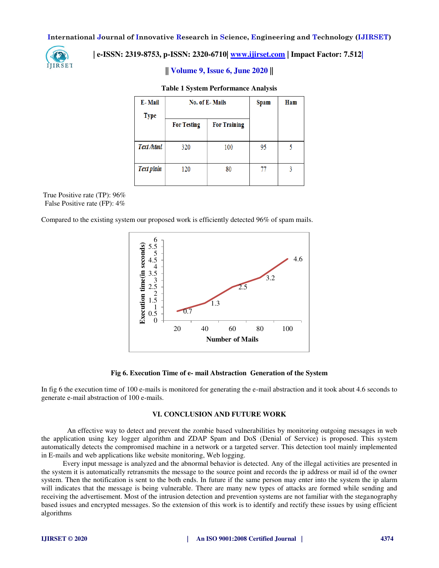

# **| e-ISSN: 2319-8753, p-ISSN: 2320-6710| [www.ijirset.com](http://www.ijirset.com/) | Impact Factor: 7.512|**

# **|| Volume 9, Issue 6, June 2020 ||**

#### **Table 1 System Performance Analysis**

| E-Mail            | <b>No. of E-Mails</b> |                     | Spam | Ham |
|-------------------|-----------------------|---------------------|------|-----|
| <b>Type</b>       |                       |                     |      |     |
|                   | <b>For Testing</b>    | <b>For Training</b> |      |     |
|                   |                       |                     |      |     |
| Text /html        | 320                   | 100                 | 95   |     |
|                   |                       |                     |      |     |
| <b>Text plain</b> | 120                   | 80                  | 77   | 3   |
|                   |                       |                     |      |     |

True Positive rate (TP): 96% False Positive rate (FP): 4%

Compared to the existing system our proposed work is efficiently detected 96% of spam mails.



#### **Fig 6. Execution Time of e- mail Abstraction Generation of the System**

In fig 6 the execution time of 100 e-mails is monitored for generating the e-mail abstraction and it took about 4.6 seconds to generate e-mail abstraction of 100 e-mails.

## **VI. CONCLUSION AND FUTURE WORK**

An effective way to detect and prevent the zombie based vulnerabilities by monitoring outgoing messages in web the application using key logger algorithm and ZDAP Spam and DoS (Denial of Service) is proposed. This system automatically detects the compromised machine in a network or a targeted server. This detection tool mainly implemented in E-mails and web applications like website monitoring, Web logging.

 Every input message is analyzed and the abnormal behavior is detected. Any of the illegal activities are presented in the system it is automatically retransmits the message to the source point and records the ip address or mail id of the owner system. Then the notification is sent to the both ends. In future if the same person may enter into the system the ip alarm will indicates that the message is being vulnerable. There are many new types of attacks are formed while sending and receiving the advertisement. Most of the intrusion detection and prevention systems are not familiar with the steganography based issues and encrypted messages. So the extension of this work is to identify and rectify these issues by using efficient algorithms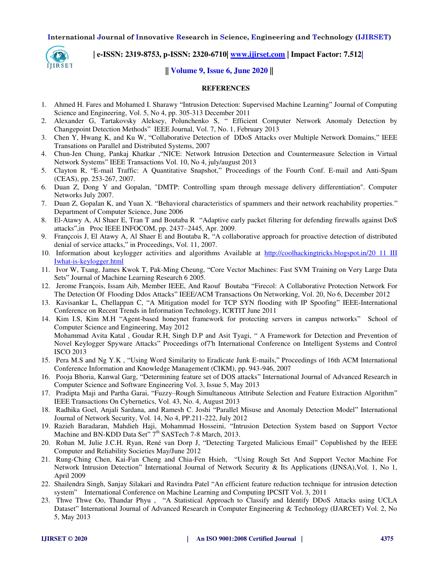

 **| e-ISSN: 2319-8753, p-ISSN: 2320-6710| [www.ijirset.com](http://www.ijirset.com/) | Impact Factor: 7.512|**

**|| Volume 9, Issue 6, June 2020 ||** 

#### **REFERENCES**

- 1. Ahmed H. Fares and Mohamed I. Sharawy "Intrusion Detection: Supervised Machine Learning" Journal of Computing Science and Engineering, Vol. 5, No 4, pp. 305-313 December 2011
- 2. Alexander G, Tartakovsky Aleksey, Polunchenko S, " Efficient Computer Network Anomaly Detection by Changepoint Detection Methods" IEEE Journal, Vol. 7, No. 1, February 2013
- 3. Chen Y, Hwang K, and Ku W, "Collaborative Detection of DDoS Attacks over Multiple Network Domains," IEEE Transations on Parallel and Distributed Systems, 2007
- 4. Chun-Jen Chung, Pankaj Khatkar ,"NICE: Network Intrusion Detection and Countermeasure Selection in Virtual Network Systems" IEEE Transactions Vol. 10, No 4, july/august 2013
- 5. Clayton R, "E-mail Traffic: A Quantitative Snapshot," Proceedings of the Fourth Conf. E-mail and Anti-Spam (CEAS), pp. 253-267, 2007.
- 6. Duan Z, Dong Y and Gopalan, "DMTP: Controlling spam through message delivery differentiation". Computer Networks July 2007.
- 7. Duan Z, Gopalan K, and Yuan X. "Behavioral characteristics of spammers and their network reachability properties." Department of Computer Science, June 2006
- 8. El-Atawy A, Al Shaer E, Tran T and Boutaba R "Adaptive early packet filtering for defending firewalls against DoS attacks",in Proc IEEE INFOCOM, pp. 2437–2445, Apr. 2009.
- 9. Françcois J, El Atawy A, Al Shaer E and Boutaba R, "A collaborative approach for proactive detection of distributed denial of service attacks," in Proceedings, Vol. 11, 2007.
- 10. Information about keylogger activities and algorithms Available at [http://coolhackingtricks.blogspot.in/20 11 III](http://coolhackingtricks.blogspot.in/20%2011%20III%20Iwhat-is-keylogger.html)  [Iwhat-is-keylogger.html](http://coolhackingtricks.blogspot.in/20%2011%20III%20Iwhat-is-keylogger.html)
- 11. Ivor W, Tsang, James Kwok T, Pak-Ming Cheung, "Core Vector Machines: Fast SVM Training on Very Large Data Sets" Journal of Machine Learning Research 6 2005.
- 12. Jerome François, Issam Aib, Member IEEE, And Raouf Boutaba "Firecol: A Collaborative Protection Network For The Detection Of Flooding Ddos Attacks" IEEE/ACM Transactions On Networking, Vol. 20, No 6, December 2012
- 13. Kavisankar L, Chellappan C, "A Mitigation model for TCP SYN flooding with IP Spoofing" IEEE-International Conference on Recent Trends in Information Technology, ICRTIT June 2011
- 14. Kim I.S, Kim M.H "Agent-based honeynet framework for protecting servers in campus networks" School of Computer Science and Engineering, May 2012 Mohammad Avita Katal , Goudar R.H, Singh D.P and Asit Tyagi, " A Framework for Detection and Prevention of Novel Keylogger Spyware Attacks" Proceedings of7'h International Conference on Intelligent Systems and Control ISCO 2013
- 15. Pera M.S and Ng Y.K , "Using Word Similarity to Eradicate Junk E-mails," Proceedings of 16th ACM International Conference Information and Knowledge Management (CIKM), pp. 943-946, 2007
- 16. Pooja Bhoria, Kanwal Garg, "Determining feature set of DOS attacks" International Journal of Advanced Research in Computer Science and Software Engineering Vol. 3, Issue 5, May 2013
- 17. Pradipta Maji and Partha Garai, "Fuzzy–Rough Simultaneous Attribute Selection and Feature Extraction Algorithm" IEEE Transactions On Cybernetics, Vol. 43, No. 4, August 2013
- 18. Radhika Goel, Anjali Sardana, and Ramesh C. Joshi "Parallel Misuse and Anomaly Detection Model" International Journal of Network Security, Vol. 14, No 4, PP.211-222, July 2012
- 19. Razieh Baradaran, Mahdieh Haji, Mohammad Hosseini, "Intrusion Detection System based on Support Vector Machine and BN-KDD Data Set" 7<sup>th</sup> SASTech 7-8 March, 2013.
- 20. Rohan M, Julie J.C.H. Ryan, René van Dorp J, "Detecting Targeted Malicious Email" Copublished by the IEEE Computer and Reliability Societies May/June 2012
- 21. Rung-Ching Chen, Kai-Fan Cheng and Chia-Fen Hsieh, "Using Rough Set And Support Vector Machine For Network Intrusion Detection" International Journal of Network Security & Its Applications (IJNSA),Vol. 1, No 1, April 2009
- 22. Shailendra Singh, Sanjay Silakari and Ravindra Patel "An efficient feature reduction technique for intrusion detection system" International Conference on Machine Learning and Computing IPCSIT Vol. 3, 2011
- 23. Thwe Thwe Oo, Thandar Phyu , "A Statistical Approach to Classify and Identify DDoS Attacks using UCLA Dataset" International Journal of Advanced Research in Computer Engineering & Technology (IJARCET) Vol. 2, No 5, May 2013